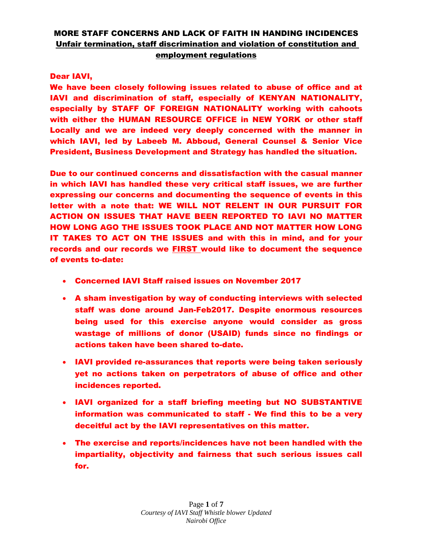### Dear IAVI,

We have been closely following issues related to abuse of office and at IAVI and discrimination of staff, especially of KENYAN NATIONALITY, especially by STAFF OF FOREIGN NATIONALITY working with cahoots with either the HUMAN RESOURCE OFFICE in NEW YORK or other staff Locally and we are indeed very deeply concerned with the manner in which IAVI, led by Labeeb M. Abboud, General Counsel & Senior Vice President, Business Development and Strategy has handled the situation.

Due to our continued concerns and dissatisfaction with the casual manner in which IAVI has handled these very critical staff issues, we are further expressing our concerns and documenting the sequence of events in this letter with a note that: WE WILL NOT RELENT IN OUR PURSUIT FOR ACTION ON ISSUES THAT HAVE BEEN REPORTED TO IAVI NO MATTER HOW LONG AGO THE ISSUES TOOK PLACE AND NOT MATTER HOW LONG IT TAKES TO ACT ON THE ISSUES and with this in mind, and for your records and our records we FIRST would like to document the sequence of events to-date:

- Concerned IAVI Staff raised issues on November 2017
- A sham investigation by way of conducting interviews with selected staff was done around Jan-Feb2017. Despite enormous resources being used for this exercise anyone would consider as gross wastage of millions of donor (USAID) funds since no findings or actions taken have been shared to-date.
- IAVI provided re-assurances that reports were being taken seriously yet no actions taken on perpetrators of abuse of office and other incidences reported.
- IAVI organized for a staff briefing meeting but NO SUBSTANTIVE information was communicated to staff - We find this to be a very deceitful act by the IAVI representatives on this matter.
- The exercise and reports/incidences have not been handled with the impartiality, objectivity and fairness that such serious issues call for.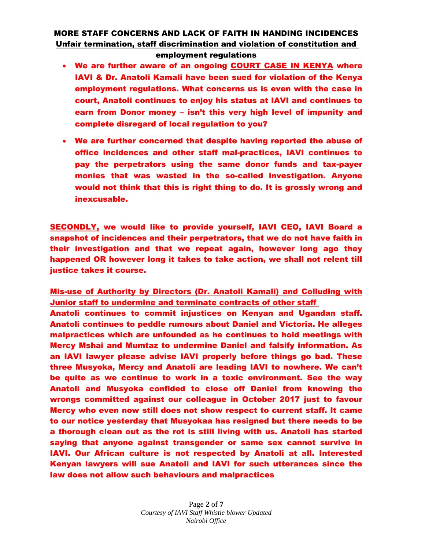- We are further aware of an ongoing COURT CASE IN KENYA where IAVI & Dr. Anatoli Kamali have been sued for violation of the Kenya employment regulations. What concerns us is even with the case in court, Anatoli continues to enjoy his status at IAVI and continues to earn from Donor money – isn't this very high level of impunity and complete disregard of local regulation to you?
- We are further concerned that despite having reported the abuse of office incidences and other staff mal-practices, IAVI continues to pay the perpetrators using the same donor funds and tax-payer monies that was wasted in the so-called investigation. Anyone would not think that this is right thing to do. It is grossly wrong and inexcusable.

SECONDLY, we would like to provide yourself, IAVI CEO, IAVI Board a snapshot of incidences and their perpetrators, that we do not have faith in their investigation and that we repeat again, however long ago they happened OR however long it takes to take action, we shall not relent till justice takes it course.

Mis-use of Authority by Directors (Dr. Anatoli Kamali) and Colluding with Junior staff to undermine and terminate contracts of other staff

Anatoli continues to commit injustices on Kenyan and Ugandan staff. Anatoli continues to peddle rumours about Daniel and Victoria. He alleges malpractices which are unfounded as he continues to hold meetings with Mercy Mshai and Mumtaz to undermine Daniel and falsify information. As an IAVI lawyer please advise IAVI properly before things go bad. These three Musyoka, Mercy and Anatoli are leading IAVI to nowhere. We can't be quite as we continue to work in a toxic environment. See the way Anatoli and Musyoka confided to close off Daniel from knowing the wrongs committed against our colleague in October 2017 just to favour Mercy who even now still does not show respect to current staff. It came to our notice yesterday that Musyokaa has resigned but there needs to be a thorough clean out as the rot is still living with us. Anatoli has started saying that anyone against transgender or same sex cannot survive in IAVI. Our African culture is not respected by Anatoli at all. Interested Kenyan lawyers will sue Anatoli and IAVI for such utterances since the law does not allow such behaviours and malpractices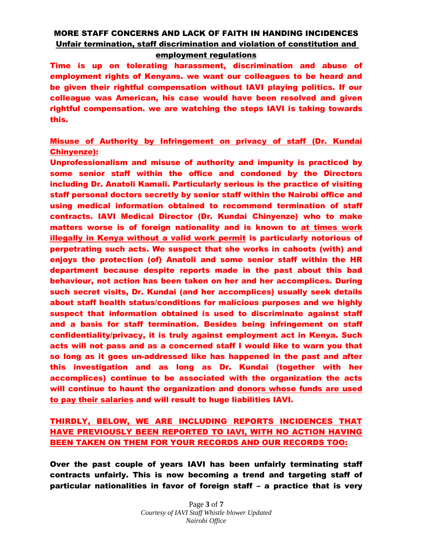employment regulations

Time is up on tolerating harassment, discrimination and abuse of employment rights of Kenyans. we want our colleagues to be heard and be given their rightful compensation without IAVI playing politics. If our colleague was American, his case would have been resolved and given rightful compensation. we are watching the steps IAVI is taking towards this.

### Misuse of Authority by Infringement on privacy of staff (Dr. Kundai Chinyenze):

Unprofessionalism and misuse of authority and impunity is practiced by some senior staff within the office and condoned by the Directors including Dr. Anatoli Kamali. Particularly serious is the practice of visiting staff personal doctors secretly by senior staff within the Nairobi office and using medical information obtained to recommend termination of staff contracts. IAVI Medical Director (Dr. Kundai Chinyenze) who to make matters worse is of foreign nationality and is known to at times work illegally in Kenya without a valid work permit is particularly notorious of perpetrating such acts. We suspect that she works in cahoots (with) and enjoys the protection (of) Anatoli and some senior staff within the HR department because despite reports made in the past about this bad behaviour, not action has been taken on her and her accomplices. During such secret visits, Dr. Kundai (and her accomplices) usually seek details about staff health status/conditions for malicious purposes and we highly suspect that information obtained is used to discriminate against staff and a basis for staff termination. Besides being infringement on staff confidentiality/privacy, it is truly against employment act in Kenya. Such acts will not pass and as a concerned staff I would like to warn you that so long as it goes un-addressed like has happened in the past and after this investigation and as long as Dr. Kundai (together with her accomplices) continue to be associated with the organization the acts will continue to haunt the organization and donors whose funds are used to pay their salaries and will result to huge liabilities IAVI.

### THIRDLY, BELOW, WE ARE INCLUDING REPORTS INCIDENCES THAT HAVE PREVIOUSLY BEEN REPORTED TO IAVI, WITH NO ACTION HAVING BEEN TAKEN ON THEM FOR YOUR RECORDS AND OUR RECORDS TOO:

Over the past couple of years IAVI has been unfairly terminating staff contracts unfairly. This is now becoming a trend and targeting staff of particular nationalities in favor of foreign staff – a practice that is very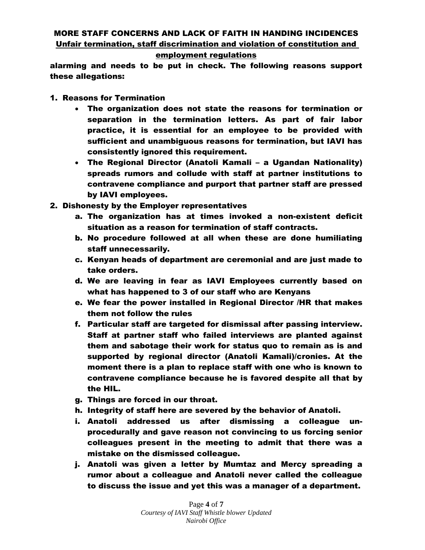#### employment regulations

alarming and needs to be put in check. The following reasons support these allegations:

- 1. Reasons for Termination
	- The organization does not state the reasons for termination or separation in the termination letters. As part of fair labor practice, it is essential for an employee to be provided with sufficient and unambiguous reasons for termination, but IAVI has consistently ignored this requirement.
	- The Regional Director (Anatoli Kamali a Ugandan Nationality) spreads rumors and collude with staff at partner institutions to contravene compliance and purport that partner staff are pressed by IAVI employees.
- 2. Dishonesty by the Employer representatives
	- a. The organization has at times invoked a non-existent deficit situation as a reason for termination of staff contracts.
	- b. No procedure followed at all when these are done humiliating staff unnecessarily.
	- c. Kenyan heads of department are ceremonial and are just made to take orders.
	- d. We are leaving in fear as IAVI Employees currently based on what has happened to 3 of our staff who are Kenyans
	- e. We fear the power installed in Regional Director /HR that makes them not follow the rules
	- f. Particular staff are targeted for dismissal after passing interview. Staff at partner staff who failed interviews are planted against them and sabotage their work for status quo to remain as is and supported by regional director (Anatoli Kamali)/cronies. At the moment there is a plan to replace staff with one who is known to contravene compliance because he is favored despite all that by the HIL.
	- g. Things are forced in our throat.
	- h. Integrity of staff here are severed by the behavior of Anatoli.
	- i. Anatoli addressed us after dismissing a colleague unprocedurally and gave reason not convincing to us forcing senior colleagues present in the meeting to admit that there was a mistake on the dismissed colleague.
	- j. Anatoli was given a letter by Mumtaz and Mercy spreading a rumor about a colleague and Anatoli never called the colleague to discuss the issue and yet this was a manager of a department.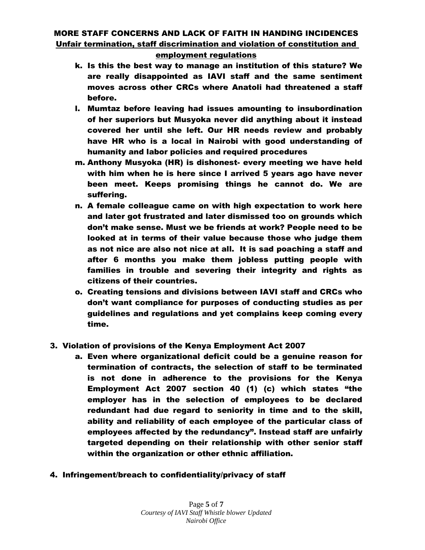#### employment regulations

- k. Is this the best way to manage an institution of this stature? We are really disappointed as IAVI staff and the same sentiment moves across other CRCs where Anatoli had threatened a staff before.
- l. Mumtaz before leaving had issues amounting to insubordination of her superiors but Musyoka never did anything about it instead covered her until she left. Our HR needs review and probably have HR who is a local in Nairobi with good understanding of humanity and labor policies and required procedures
- m. Anthony Musyoka (HR) is dishonest- every meeting we have held with him when he is here since I arrived 5 years ago have never been meet. Keeps promising things he cannot do. We are suffering.
- n. A female colleague came on with high expectation to work here and later got frustrated and later dismissed too on grounds which don't make sense. Must we be friends at work? People need to be looked at in terms of their value because those who judge them as not nice are also not nice at all. It is sad poaching a staff and after 6 months you make them jobless putting people with families in trouble and severing their integrity and rights as citizens of their countries.
- o. Creating tensions and divisions between IAVI staff and CRCs who don't want compliance for purposes of conducting studies as per guidelines and regulations and yet complains keep coming every time.

#### 3. Violation of provisions of the Kenya Employment Act 2007

- a. Even where organizational deficit could be a genuine reason for termination of contracts, the selection of staff to be terminated is not done in adherence to the provisions for the Kenya Employment Act 2007 section 40 (1) (c) which states "the employer has in the selection of employees to be declared redundant had due regard to seniority in time and to the skill, ability and reliability of each employee of the particular class of employees affected by the redundancy". Instead staff are unfairly targeted depending on their relationship with other senior staff within the organization or other ethnic affiliation.
- 4. Infringement/breach to confidentiality/privacy of staff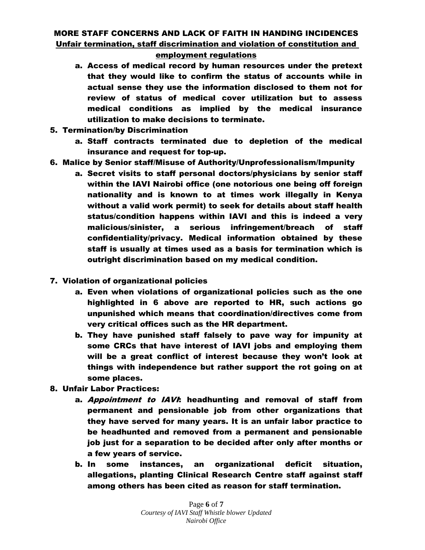#### employment regulations

- a. Access of medical record by human resources under the pretext that they would like to confirm the status of accounts while in actual sense they use the information disclosed to them not for review of status of medical cover utilization but to assess medical conditions as implied by the medical insurance utilization to make decisions to terminate.
- 5. Termination/by Discrimination
	- a. Staff contracts terminated due to depletion of the medical insurance and request for top-up.
- 6. Malice by Senior staff/Misuse of Authority/Unprofessionalism/Impunity
	- a. Secret visits to staff personal doctors/physicians by senior staff within the IAVI Nairobi office (one notorious one being off foreign nationality and is known to at times work illegally in Kenya without a valid work permit) to seek for details about staff health status/condition happens within IAVI and this is indeed a very malicious/sinister, a serious infringement/breach of staff confidentiality/privacy. Medical information obtained by these staff is usually at times used as a basis for termination which is outright discrimination based on my medical condition.
- 7. Violation of organizational policies
	- a. Even when violations of organizational policies such as the one highlighted in 6 above are reported to HR, such actions go unpunished which means that coordination/directives come from very critical offices such as the HR department.
	- b. They have punished staff falsely to pave way for impunity at some CRCs that have interest of IAVI jobs and employing them will be a great conflict of interest because they won't look at things with independence but rather support the rot going on at some places.
- 8. Unfair Labor Practices:
	- a. Appointment to IAVI: headhunting and removal of staff from permanent and pensionable job from other organizations that they have served for many years. It is an unfair labor practice to be headhunted and removed from a permanent and pensionable job just for a separation to be decided after only after months or a few years of service.
	- b. In some instances, an organizational deficit situation, allegations, planting Clinical Research Centre staff against staff among others has been cited as reason for staff termination.